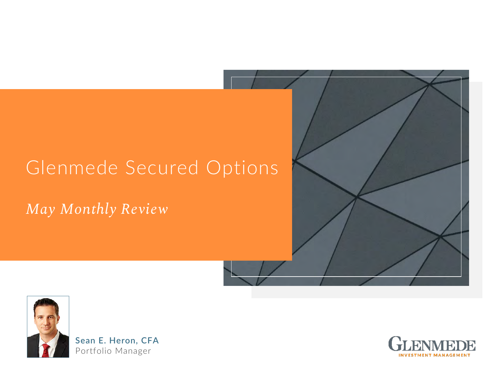## Glenmede Secured Options

### *May Monthly Review*



**Sean E. Heron, CFA** Portfolio Manager



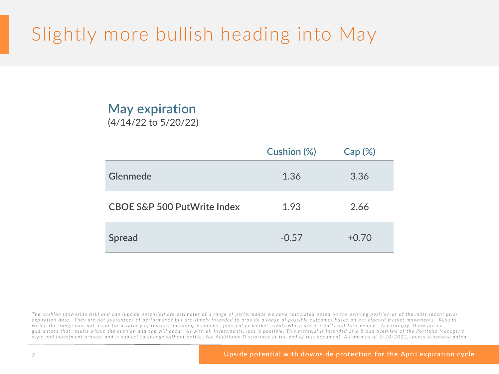## Slightly more bullish heading into May

### **May expiration**  (4/14/22 to 5/20/22)

|                                        | <b>Cushion (%)</b> | Cap (%) |
|----------------------------------------|--------------------|---------|
| <b>Glenmede</b>                        | 1.36               | 3.36    |
| <b>CBOE S&amp;P 500 PutWrite Index</b> | 1.93               | 2.66    |
| <b>Spread</b>                          | $-0.57$            | $+0.70$ |

The cushion (downside risk) and cap (upside potential) are estimates of a range of performance we have calculated based on the existing position as of the most recent prior *expiration date. They are not guarantees of performance but are simply intended to provide a range of possible outcomes based on anticipated market movements. Results within this range may not occur for a variety of reasons, including economic, political or market events which are presently not foreseeable. Accordingly, there are no guarantees that results within the cushion and cap will occur. As with all investments, loss is possible. This material is intended as a broad overview of the Portfolio Manager's*  style and investment process and is subject to change without notice. See Additional Disclosures at the end of this document. All data as of 5/20/2022, unless otherwise noted.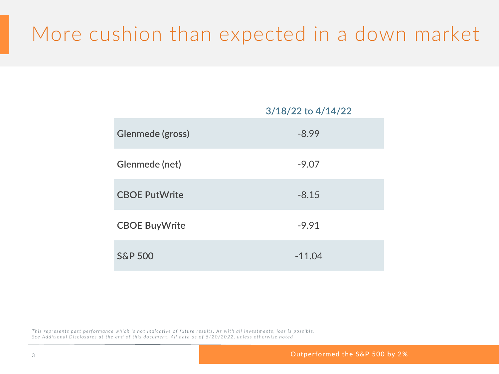## More cushion than expected in a down market

|                       | 3/18/22 to 4/14/22 |
|-----------------------|--------------------|
| Glenmede (gross)      | $-8.99$            |
| <b>Glenmede (net)</b> | $-9.07$            |
| <b>CBOE PutWrite</b>  | $-8.15$            |
| <b>CBOE BuyWrite</b>  | $-9.91$            |
| <b>S&amp;P 500</b>    | $-11.04$           |

*This represents past performance which is not indicative of future results. As with all investments, loss is possible. See Additional Disclosures at the end of this document. All data as of 5/20/2022, unless otherwise noted*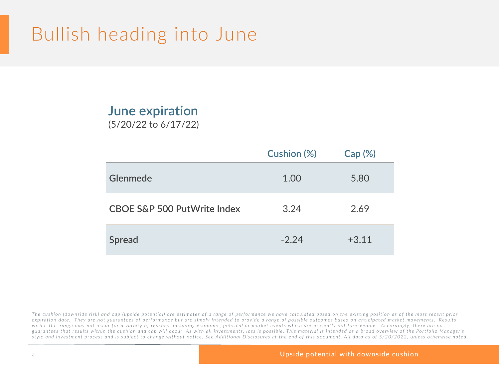### Bullish heading into June

### **June expiration**  (5/20/22 to 6/17/22)

|                                        | <b>Cushion (%)</b> | <b>Cap (%)</b> |
|----------------------------------------|--------------------|----------------|
| <b>Glenmede</b>                        | 1.00               | 5.80           |
| <b>CBOE S&amp;P 500 PutWrite Index</b> | 3.24               | 2.69           |
| <b>Spread</b>                          | $-2.24$            | $+3.11$        |

The cushion (downside risk) and cap (upside potential) are estimates of a range of performance we have calculated based on the existing position as of the most recent prior *expiration date. They are not guarantees of performance but are simply intended to provide a range of possible outcomes based on anticipated market movements. Results within this range may not occur for a variety of reasons, including economic, political or market events which are presently not foreseeable. Accordingly, there are no guarantees that results within the cushion and cap will occur. As with all investments, loss is possible. This material is intended as a broad overview of the Portfolio Manager's*  style and investment process and is subject to change without notice. See Additional Disclosures at the end of this document. All data as of 5/20/2022, unless otherwise noted.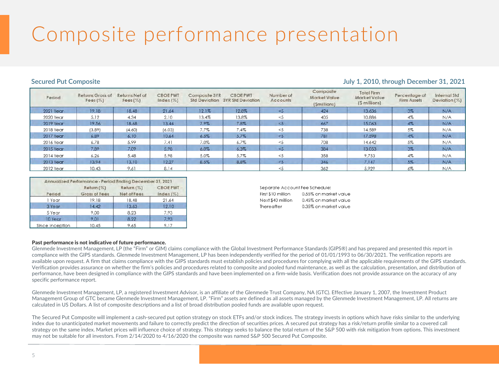# Composite performance presentation

#### **Secured Put Composite Secured Put Composite 31, 2021**

| Period    | Returns Gross of<br>Fees $(\%)$ | Returns Net of<br>Fees $(\%)$ | <b>CBOEPWT</b><br>$Index (\%)$ | Composite 3YR | <b>CBOEPWT</b><br>Std Deviation 3YR Std Deviation | Number of<br>Accounts | Composite<br>Market Value<br>(Smillions) | <b>Total Firm</b><br><b>Market Value</b><br>(\$ millions) | Percentage of<br>Firm Assets | <b>Internal Std</b><br>Deviation (%) |
|-----------|---------------------------------|-------------------------------|--------------------------------|---------------|---------------------------------------------------|-----------------------|------------------------------------------|-----------------------------------------------------------|------------------------------|--------------------------------------|
| 2021 Year | 19.18                           | 18.48                         | 21.64                          | 12.1%         | 12.8%                                             | < 5                   | 424                                      | 13,636                                                    | $3\%$                        | N/A                                  |
| 2020 Year | 5.12                            | 4.34                          | 2.10                           | 13.4%         | 13.8%                                             |                       | 405                                      | 10,886                                                    | 4%                           | N/A                                  |
| 2019 Year | 19.56                           | 18.68                         | 13.44                          | 7.9%          | 7.8%                                              | <5                    | 667                                      | 15,063                                                    | $4\%$                        | N/A                                  |
| 2018 Year | (3.89)                          | (4.60)                        | (6.03)                         | 7.7%          | 7.4%                                              | <5                    | 738                                      | 14,589                                                    | 5%                           | N/A                                  |
| 2017 Year | 6.89                            | 6.10                          | 10.64                          | 6.5%          | 5.7%                                              | < 5                   | 781                                      | 17,598                                                    | $4\%$                        | N/A                                  |
| 2016 Year | 6.78                            | 5.99                          | 7.41                           | 7.0%          | 6.7%                                              | <5                    | 708                                      | 14,642                                                    | 5%                           | N/A                                  |
| 2015 Year | 7.89                            | 7.09                          | 5.98                           | 6.0%          | 6.3%                                              | $\leq 5$              | 384                                      | 13,053                                                    | $3\%$                        | N/A                                  |
| 2014 Year | 6.26                            | 5.48                          | 5.98                           | 5.0%          | 5.7%                                              | <5                    | 358                                      | 9,753                                                     | 4%                           | N/A                                  |
| 2013 Year | 13.94                           | 13.10                         | 12.27                          | 8.5%          | 8.8%                                              | $\leq 5$              | 346                                      | 7,147                                                     | $5\%$                        | N/A                                  |
| 2012 Year | 10.43                           | 9.61                          | 8.14                           |               |                                                   |                       | 362                                      | 5,929                                                     | 6%                           | N/A                                  |

|                 | Annualized Performance - Period Ending December 31, 2021 |                            |                              |
|-----------------|----------------------------------------------------------|----------------------------|------------------------------|
| Period          | Return (%)<br>Gross of Fees                              | Return (%)<br>Net of Fees. | <b>CBOE PWT</b><br>Index (%) |
| 1 Year          | 19.18                                                    | 18.48                      | 21.64                        |
| 3 Year          | 14.42                                                    | 13.63                      | 12.10                        |
| 5 Year          | 9.00                                                     | 8.23                       | 7.93                         |
| 10 Year         | 9.01                                                     | 8.22                       | 7.93                         |
| Since Inception | 10.45                                                    | 9.65                       | 9.17                         |

| Separate Account Fee Schedule: |                       |
|--------------------------------|-----------------------|
| First \$10 million             | 0.55% on market value |
| Next \$40 million              | 0.45% on market value |
| Thereafter                     | 0.35% on market value |
|                                |                       |

#### Past performance is not indicative of future performance.

Glenmede Investment Management, LP (the "Firm" or GIM) claims compliance with the Global Investment Performance Standards (GIPS®) and has prepared and presented this report in compliance with the GIPS standards. Glenmede Investment Management, LP has been independently verified for the period of 01/01/1993 to 06/30/2021. The verification reports are available upon request. A firm that claims compliance with the GIPS standards must establish policies and procedures for complying with all the applicable requirements of the GIPS standards. Verification provides assurance on whether the firm's policies and procedures related to composite and pooled fund maintenance, as well as the calculation, presentation, and distribution of performance, have been designed in compliance with the GIPS standards and have been implemented on a firm-wide basis. Verification does not provide assurance on the accuracy of any specific performance report.

Glenmede Investment Management, LP, a registered Investment Advisor, is an affiliate of the Glenmede Trust Company, NA (GTC). Effective January 1, 2007, the Investment Product Management Group of GTC became Glenmede Investment Management, LP. "Firm" assets are defined as all assets managed by the Glenmede Investment Management, LP. All returns are calculated in US Dollars. A list of composite descriptions and a list of broad distribution pooled funds are available upon request.

The Secured Put Composite will implement a cash-secured put option strategy on stock ETFs and/or stock indices. The strategy invests in options which have risks similar to the underlying index due to unanticipated market movements and failure to correctly predict the direction of securities prices. A secured put strategy has a risk/return profile similar to a covered call strategy on the same index. Market prices will influence choice of strategy. This strategy seeks to balance the total return of the S&P 500 with risk mitigation from options. This investment may not be suitable for all investors. From 2/14/2020 to 4/16/2020 the composite was named S&P 500 Secured Put Composite.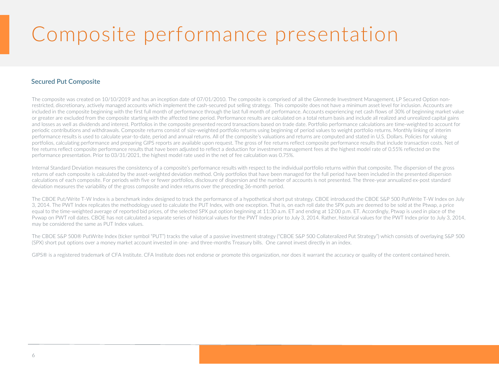# Composite performance presentation

### **Secured Put Composite**

The composite was created on 10/10/2019 and has an inception date of 07/01/2010. The composite is comprised of all the Glenmede Investment Management, LP Secured Option nonrestricted, discretionary, actively managed accounts which implement the cash-secured put selling strategy. This composite does not have a minimum asset level for inclusion. Accounts are included in the composite beginning with the first full month of performance through the last full month of performance. Accounts experiencing net cash flows of 30% of beginning market value or greater are excluded from the composite starting with the affected time period. Performance results are calculated on a total return basis and include all realized and unrealized capital gains and losses as well as dividends and interest. Portfolios in the composite presented record transactions based on trade date. Portfolio performance calculations are time-weighted to account for periodic contributions and withdrawals. Composite returns consist of size-weighted portfolio returns using beginning of period values to weight portfolio returns. Monthly linking of interim performance results is used to calculate year-to-date, period and annual returns. All of the composite's valuations and returns are computed and stated in U.S. Dollars. Policies for valuing portfolios, calculating performance and preparing GIPS reports are available upon request. The gross of fee returns reflect composite performance results that include transaction costs. Net of fee returns reflect composite performance results that have been adjusted to reflect a deduction for investment management fees at the highest model rate of 0.55% reflected on the performance presentation. Prior to 03/31/2021, the highest model rate used in the net of fee calculation was 0.75%.

Internal Standard Deviation measures the consistency of a composite's performance results with respect to the individual portfolio returns within that composite. The dispersion of the gross returns of each composite is calculated by the asset-weighted deviation method. Only portfolios that have been managed for the full period have been included in the presented dispersion calculations of each composite. For periods with five or fewer portfolios, disclosure of dispersion and the number of accounts is not presented. The three-year annualized ex-post standard deviation measures the variability of the gross composite and index returns over the preceding 36-month period.

The CBOE Put/Write T-W Index is a benchmark index designed to track the performance of a hypothetical short put strategy. CBOE introduced the CBOE S&P 500 PutWrite T-W Index on July 3, 2014. The PWT Index replicates the methodology used to calculate the PUT Index, with one exception. That is, on each roll date the SPX puts are deemed to be sold at the Ptwap, a price equal to the time-weighted average of reported bid prices, of the selected SPX put option beginning at 11:30 a.m. ET and ending at 12:00 p.m. ET. Accordingly, Ptwap is used in place of the Pywap on PWT roll dates. CBOE has not calculated a separate series of historical values for the PWT Index prior to July 3, 2014. Rather, historical values for the PWT Index prior to July 3, 2014, may be considered the same as PUT Index values.

The CBOE S&P 500® PutWrite Index (ticker symbol "PUT") tracks the value of a passive investment strategy ("CBOE S&P 500 Collateralized Put Strategy") which consists of overlaying S&P 500 (SPX) short put options over a money market account invested in one- and three-months Treasury bills. One cannot invest directly in an index.

GIPS® is a registered trademark of CFA Institute. CFA Institute does not endorse or promote this organization, nor does it warrant the accuracy or quality of the content contained herein.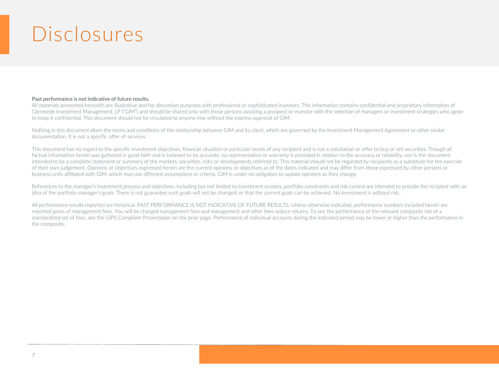## Disclosures

#### **Past performance is not indicative of future results.**

All materials presented herewith are illustrative and for discussion purposes with professional or sophisticated investors. This information contains confidential and proprietary information of Glenmede Investment Management, LP ("GIM") and should be shared only with those persons assisting a prospect or investor with the selection of managers or investment strategies who agree to keep it confidential. This document should not be circulated to anyone else without the express approval of GIM.

Nothing in this document alters the terms and conditions of the relationship between GIM and its client, which are governed by the Investment Management Agreement or other similar documentation. It is not a specific offer of services.

This document has no regard to the specific investment objectives, financial situation or particular needs of any recipient and is not a solicitation or offer to buy or sell securities. Though all factual information herein was gathered in good faith and is believed to be accurate, no representation or warranty is provided in relation to the accuracy or reliability, nor is this document intended to be a complete statement or summary of the markets, securities, risks or developments referred to. This material should not be regarded by recipients as a substitute for the exercise of their own judgement. Opinions or objectives expressed herein are the current opinions or objectives as of the dates indicated and may differ from those expressed by other persons or business units affiliated with GIM, which may use different assumptions or criteria. GIM is under no obligation to update opinions as they change.

References to the manager's investment process and objectives, including but not limited to investment screens, portfolio constraints and risk control are intended to provide the recipient with an idea of the portfolio manager's goals. There is not guarantee such goals will not be changed, or that the current goals can be achieved. No investment is without risk.

All performance results reported are historical. PAST PERFORMANCE IS NOT INDICATIVE OF FUTURE RESULTS. Unless otherwise indicated, performance numbers included herein are reported gross of management fees. You will be charged management fees and management and other fees reduce returns. To see the performance of the relevant composite net of a standardized set of fees, see the GIPS Compliant Presentation on the prior page. Performance of individual accounts during the indicated period may be lower or higher than the performance in the composite.